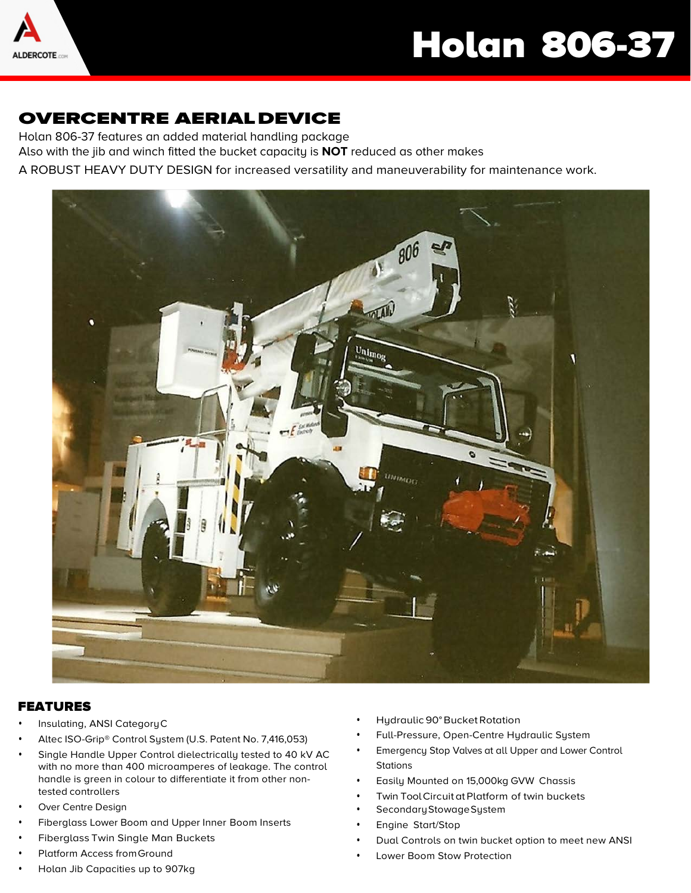

# Holan 806-37

### OVERCENTRE AERIALDEVICE

Holan 806-37 features an added material handling package Also with the jib and winch fitted the bucket capacity is **NOT** reduced as other makes

A ROBUST HEAVY DUTY DESIGN for increased versatility and maneuverability for maintenance work.



#### FEATURES

- Insulating, ANSI CategoryC
- Altec ISO-Grip® Control System (U.S. Patent No. 7,416,053)
- Single Handle Upper Control dielectrically tested to 40 kV AC with no more than 400 microamperes of leakage. The control handle is green in colour to differentiate it from other nontested controllers
- Over Centre Design
- Fiberglass Lower Boom and Upper Inner Boom Inserts
- Fiberglass Twin Single Man Buckets
- Platform Access from Ground
- Holan Jib Capacities up to 907kg
- Hydraulic 90° Bucket Rotation
- Full-Pressure, Open-Centre Hydraulic System
- Emergency Stop Valves at all Upper and Lower Control **Stations**
- Easily Mounted on 15,000kg GVW Chassis
- Twin Tool Circuit at Platform of twin buckets
- Secondary Stowage System
- Engine Start/Stop
- Dual Controls on twin bucket option to meet new ANSI
- Lower Boom Stow Protection